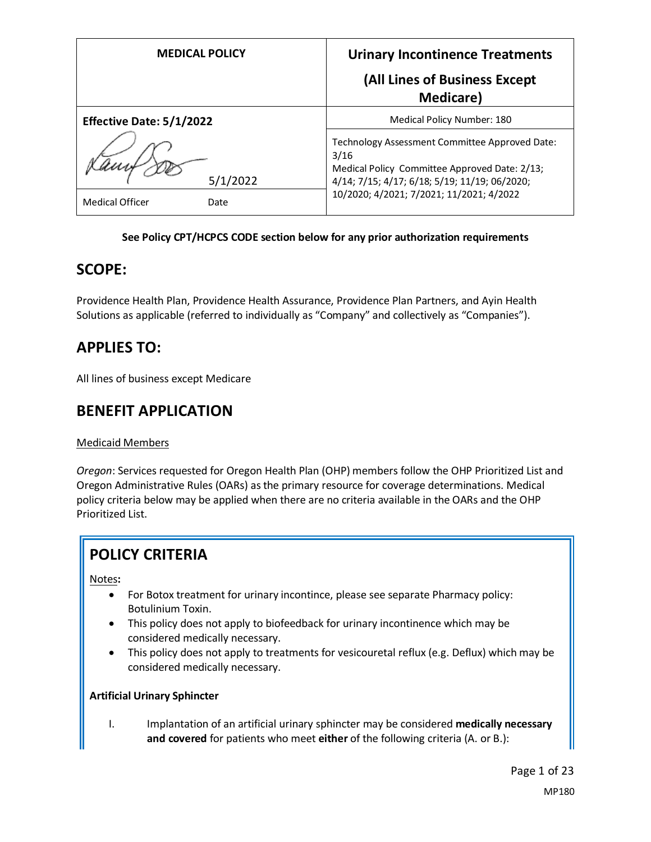| <b>MEDICAL POLICY</b>           | <b>Urinary Incontinence Treatments</b>                                                                                                                                                               |
|---------------------------------|------------------------------------------------------------------------------------------------------------------------------------------------------------------------------------------------------|
|                                 | (All Lines of Business Except<br><b>Medicare</b> )                                                                                                                                                   |
| <b>Effective Date: 5/1/2022</b> | Medical Policy Number: 180                                                                                                                                                                           |
| 5/1/2022                        | Technology Assessment Committee Approved Date:<br>3/16<br>Medical Policy Committee Approved Date: 2/13;<br>4/14; 7/15; 4/17; 6/18; 5/19; 11/19; 06/2020;<br>10/2020; 4/2021; 7/2021; 11/2021; 4/2022 |
| <b>Medical Officer</b><br>Date  |                                                                                                                                                                                                      |

## **See Policy CPT/HCPCS CODE section below for any prior authorization requirements**

# **SCOPE:**

Providence Health Plan, Providence Health Assurance, Providence Plan Partners, and Ayin Health Solutions as applicable (referred to individually as "Company" and collectively as "Companies").

# **APPLIES TO:**

All lines of business except Medicare

# **BENEFIT APPLICATION**

# Medicaid Members

*Oregon*: Services requested for Oregon Health Plan (OHP) members follow the OHP Prioritized List and Oregon Administrative Rules (OARs) as the primary resource for coverage determinations. Medical policy criteria below may be applied when there are no criteria available in the OARs and the OHP Prioritized List.

# **POLICY CRITERIA**

Notes**:**

- For Botox treatment for urinary incontince, please see separate Pharmacy policy: Botulinium Toxin.
- This policy does not apply to biofeedback for urinary incontinence which may be considered medically necessary.
- This policy does not apply to treatments for vesicouretal reflux (e.g. Deflux) which may be considered medically necessary.

# **Artificial Urinary Sphincter**

I. Implantation of an artificial urinary sphincter may be considered **medically necessary and covered** for patients who meet **either** of the following criteria (A. or B.):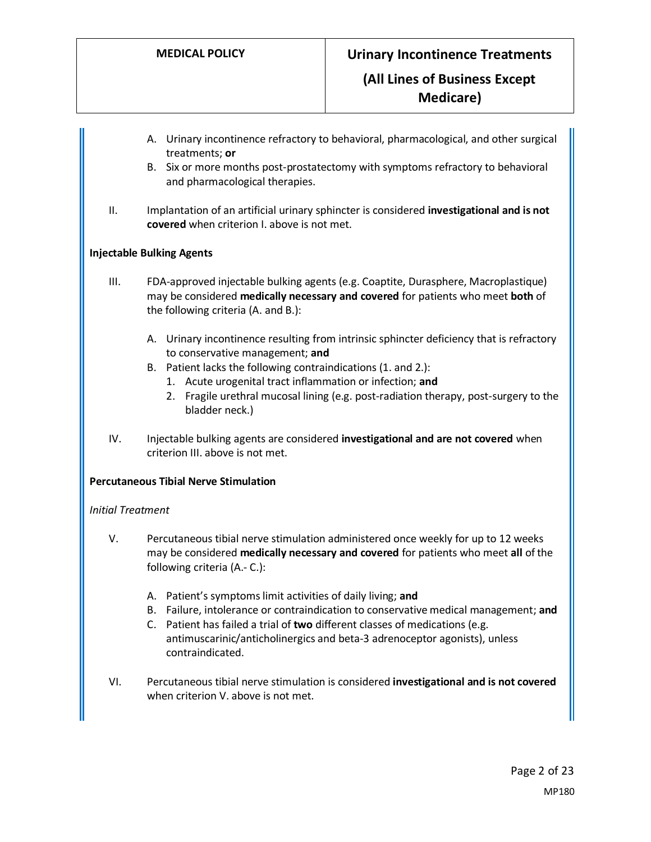- A. Urinary incontinence refractory to behavioral, pharmacological, and other surgical treatments; **or**
- B. Six or more months post-prostatectomy with symptoms refractory to behavioral and pharmacological therapies.
- II. Implantation of an artificial urinary sphincter is considered **investigational and is not covered** when criterion I. above is not met.

#### **Injectable Bulking Agents**

- III. FDA-approved injectable bulking agents (e.g. Coaptite, Durasphere, Macroplastique) may be considered **medically necessary and covered** for patients who meet **both** of the following criteria (A. and B.):
	- A. Urinary incontinence resulting from intrinsic sphincter deficiency that is refractory to conservative management; **and**
	- B. Patient lacks the following contraindications (1. and 2.):
		- 1. Acute urogenital tract inflammation or infection; **and**
		- 2. Fragile urethral mucosal lining (e.g. post-radiation therapy, post-surgery to the bladder neck.)
- IV. Injectable bulking agents are considered **investigational and are not covered** when criterion III. above is not met.

#### **Percutaneous Tibial Nerve Stimulation**

#### *Initial Treatment*

- V. Percutaneous tibial nerve stimulation administered once weekly for up to 12 weeks may be considered **medically necessary and covered** for patients who meet **all** of the following criteria (A.- C.):
	- A. Patient's symptoms limit activities of daily living; **and**
	- B. Failure, intolerance or contraindication to conservative medical management; **and**
	- C. Patient has failed a trial of **two** different classes of medications (e.g. antimuscarinic/anticholinergics and beta-3 adrenoceptor agonists), unless contraindicated.
- VI. Percutaneous tibial nerve stimulation is considered **investigational and is not covered** when criterion V. above is not met.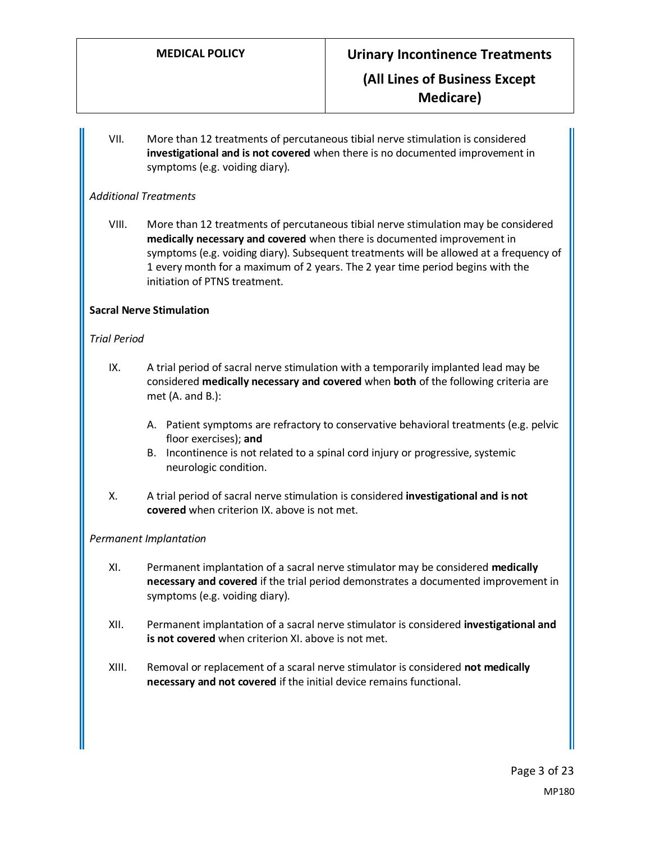VII. More than 12 treatments of percutaneous tibial nerve stimulation is considered **investigational and is not covered** when there is no documented improvement in symptoms (e.g. voiding diary).

# *Additional Treatments*

VIII. More than 12 treatments of percutaneous tibial nerve stimulation may be considered **medically necessary and covered** when there is documented improvement in symptoms (e.g. voiding diary). Subsequent treatments will be allowed at a frequency of 1 every month for a maximum of 2 years. The 2 year time period begins with the initiation of PTNS treatment.

## **Sacral Nerve Stimulation**

## *Trial Period*

- IX. A trial period of sacral nerve stimulation with a temporarily implanted lead may be considered **medically necessary and covered** when **both** of the following criteria are met (A. and B.):
	- A. Patient symptoms are refractory to conservative behavioral treatments (e.g. pelvic floor exercises); **and**
	- B. Incontinence is not related to a spinal cord injury or progressive, systemic neurologic condition.
- X. A trial period of sacral nerve stimulation is considered **investigational and is not covered** when criterion IX. above is not met.

#### *Permanent Implantation*

- XI. Permanent implantation of a sacral nerve stimulator may be considered **medically necessary and covered** if the trial period demonstrates a documented improvement in symptoms (e.g. voiding diary).
- XII. Permanent implantation of a sacral nerve stimulator is considered **investigational and is not covered** when criterion XI. above is not met.
- XIII. Removal or replacement of a scaral nerve stimulator is considered **not medically necessary and not covered** if the initial device remains functional.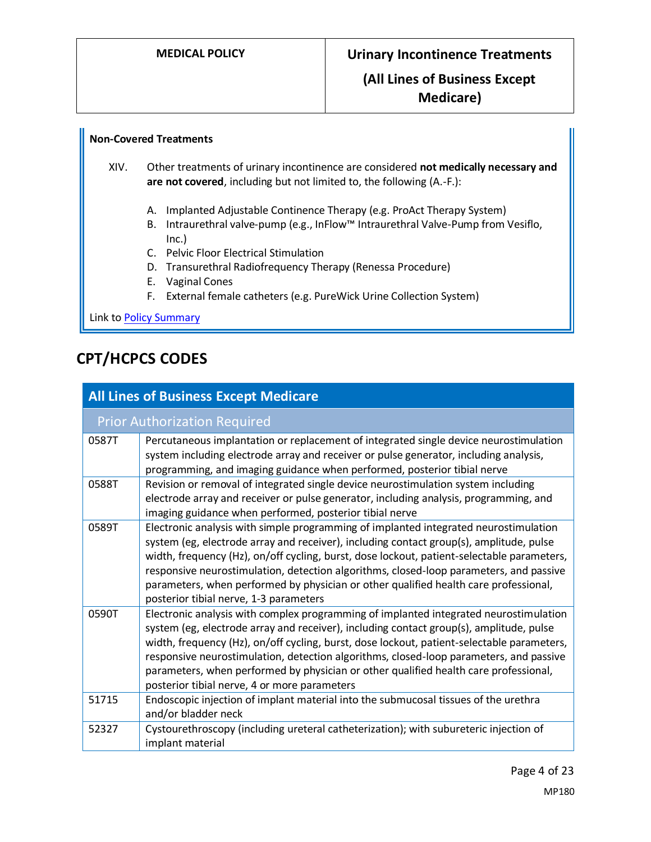# **Non-Covered Treatments**

XIV. Other treatments of urinary incontinence are considered **not medically necessary and are not covered**, including but not limited to, the following (A.-F.):

- A. Implanted Adjustable Continence Therapy (e.g. ProAct Therapy System)
- B. Intraurethral valve-pump (e.g., InFlow™ Intraurethral Valve-Pump from Vesiflo, Inc.)
- C. Pelvic Floor Electrical Stimulation
- D. Transurethral Radiofrequency Therapy (Renessa Procedure)
- E. Vaginal Cones
- F. External female catheters (e.g. PureWick Urine Collection System)

Link t[o Policy Summary](#page-18-0)

# **CPT/HCPCS CODES**

| <b>All Lines of Business Except Medicare</b> |                                                                                                                                                                                                                                                                                                                                                                                                                                                                                                                  |  |
|----------------------------------------------|------------------------------------------------------------------------------------------------------------------------------------------------------------------------------------------------------------------------------------------------------------------------------------------------------------------------------------------------------------------------------------------------------------------------------------------------------------------------------------------------------------------|--|
| <b>Prior Authorization Required</b>          |                                                                                                                                                                                                                                                                                                                                                                                                                                                                                                                  |  |
| 0587T                                        | Percutaneous implantation or replacement of integrated single device neurostimulation<br>system including electrode array and receiver or pulse generator, including analysis,<br>programming, and imaging guidance when performed, posterior tibial nerve                                                                                                                                                                                                                                                       |  |
| 0588T                                        | Revision or removal of integrated single device neurostimulation system including<br>electrode array and receiver or pulse generator, including analysis, programming, and<br>imaging guidance when performed, posterior tibial nerve                                                                                                                                                                                                                                                                            |  |
| 0589T                                        | Electronic analysis with simple programming of implanted integrated neurostimulation<br>system (eg, electrode array and receiver), including contact group(s), amplitude, pulse<br>width, frequency (Hz), on/off cycling, burst, dose lockout, patient-selectable parameters,<br>responsive neurostimulation, detection algorithms, closed-loop parameters, and passive<br>parameters, when performed by physician or other qualified health care professional,<br>posterior tibial nerve, 1-3 parameters        |  |
| 0590T                                        | Electronic analysis with complex programming of implanted integrated neurostimulation<br>system (eg, electrode array and receiver), including contact group(s), amplitude, pulse<br>width, frequency (Hz), on/off cycling, burst, dose lockout, patient-selectable parameters,<br>responsive neurostimulation, detection algorithms, closed-loop parameters, and passive<br>parameters, when performed by physician or other qualified health care professional,<br>posterior tibial nerve, 4 or more parameters |  |
| 51715                                        | Endoscopic injection of implant material into the submucosal tissues of the urethra<br>and/or bladder neck                                                                                                                                                                                                                                                                                                                                                                                                       |  |
| 52327                                        | Cystourethroscopy (including ureteral catheterization); with subureteric injection of<br>implant material                                                                                                                                                                                                                                                                                                                                                                                                        |  |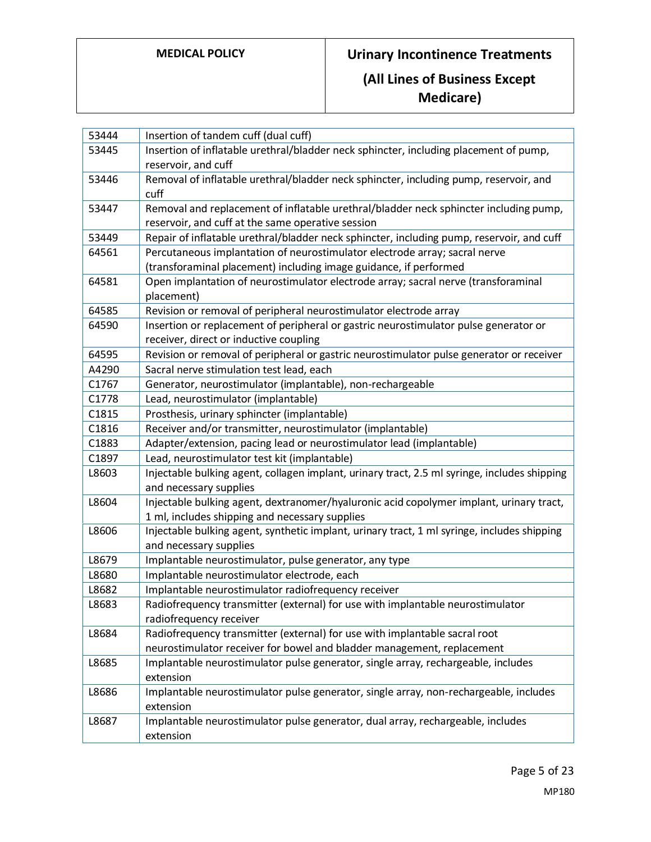**Medicare)**

| 53444 | Insertion of tandem cuff (dual cuff)                                                         |
|-------|----------------------------------------------------------------------------------------------|
| 53445 | Insertion of inflatable urethral/bladder neck sphincter, including placement of pump,        |
|       | reservoir, and cuff                                                                          |
| 53446 | Removal of inflatable urethral/bladder neck sphincter, including pump, reservoir, and        |
|       | cuff                                                                                         |
| 53447 | Removal and replacement of inflatable urethral/bladder neck sphincter including pump,        |
|       | reservoir, and cuff at the same operative session                                            |
| 53449 | Repair of inflatable urethral/bladder neck sphincter, including pump, reservoir, and cuff    |
| 64561 | Percutaneous implantation of neurostimulator electrode array; sacral nerve                   |
|       | (transforaminal placement) including image guidance, if performed                            |
| 64581 | Open implantation of neurostimulator electrode array; sacral nerve (transforaminal           |
|       | placement)                                                                                   |
| 64585 | Revision or removal of peripheral neurostimulator electrode array                            |
| 64590 | Insertion or replacement of peripheral or gastric neurostimulator pulse generator or         |
|       | receiver, direct or inductive coupling                                                       |
| 64595 | Revision or removal of peripheral or gastric neurostimulator pulse generator or receiver     |
| A4290 | Sacral nerve stimulation test lead, each                                                     |
| C1767 | Generator, neurostimulator (implantable), non-rechargeable                                   |
| C1778 | Lead, neurostimulator (implantable)                                                          |
| C1815 | Prosthesis, urinary sphincter (implantable)                                                  |
| C1816 | Receiver and/or transmitter, neurostimulator (implantable)                                   |
| C1883 | Adapter/extension, pacing lead or neurostimulator lead (implantable)                         |
| C1897 | Lead, neurostimulator test kit (implantable)                                                 |
| L8603 | Injectable bulking agent, collagen implant, urinary tract, 2.5 ml syringe, includes shipping |
|       | and necessary supplies                                                                       |
| L8604 | Injectable bulking agent, dextranomer/hyaluronic acid copolymer implant, urinary tract,      |
|       | 1 ml, includes shipping and necessary supplies                                               |
| L8606 | Injectable bulking agent, synthetic implant, urinary tract, 1 ml syringe, includes shipping  |
|       | and necessary supplies                                                                       |
| L8679 | Implantable neurostimulator, pulse generator, any type                                       |
| L8680 | Implantable neurostimulator electrode, each                                                  |
| L8682 | Implantable neurostimulator radiofrequency receiver                                          |
| L8683 | Radiofrequency transmitter (external) for use with implantable neurostimulator               |
|       | radiofrequency receiver                                                                      |
| L8684 | Radiofrequency transmitter (external) for use with implantable sacral root                   |
|       | neurostimulator receiver for bowel and bladder management, replacement                       |
| L8685 | Implantable neurostimulator pulse generator, single array, rechargeable, includes            |
|       | extension                                                                                    |
| L8686 | Implantable neurostimulator pulse generator, single array, non-rechargeable, includes        |
|       | extension                                                                                    |
| L8687 | Implantable neurostimulator pulse generator, dual array, rechargeable, includes              |
|       | extension                                                                                    |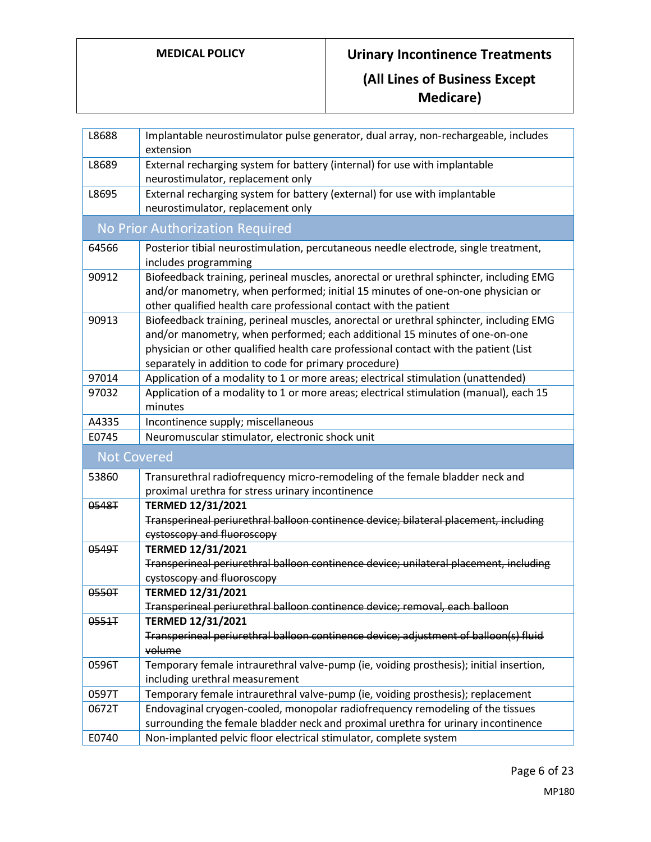# **MEDICAL POLICY Urinary Incontinence Treatments**

# **(All Lines of Business Except Medicare)**

| L8688              | Implantable neurostimulator pulse generator, dual array, non-rechargeable, includes<br>extension                                                                                                                                                                                                                      |  |
|--------------------|-----------------------------------------------------------------------------------------------------------------------------------------------------------------------------------------------------------------------------------------------------------------------------------------------------------------------|--|
| L8689              | External recharging system for battery (internal) for use with implantable<br>neurostimulator, replacement only                                                                                                                                                                                                       |  |
| L8695              | External recharging system for battery (external) for use with implantable<br>neurostimulator, replacement only                                                                                                                                                                                                       |  |
|                    | No Prior Authorization Required                                                                                                                                                                                                                                                                                       |  |
| 64566              | Posterior tibial neurostimulation, percutaneous needle electrode, single treatment,<br>includes programming                                                                                                                                                                                                           |  |
| 90912              | Biofeedback training, perineal muscles, anorectal or urethral sphincter, including EMG<br>and/or manometry, when performed; initial 15 minutes of one-on-one physician or<br>other qualified health care professional contact with the patient                                                                        |  |
| 90913              | Biofeedback training, perineal muscles, anorectal or urethral sphincter, including EMG<br>and/or manometry, when performed; each additional 15 minutes of one-on-one<br>physician or other qualified health care professional contact with the patient (List<br>separately in addition to code for primary procedure) |  |
| 97014              | Application of a modality to 1 or more areas; electrical stimulation (unattended)                                                                                                                                                                                                                                     |  |
| 97032              | Application of a modality to 1 or more areas; electrical stimulation (manual), each 15<br>minutes                                                                                                                                                                                                                     |  |
| A4335              | Incontinence supply; miscellaneous                                                                                                                                                                                                                                                                                    |  |
| E0745              | Neuromuscular stimulator, electronic shock unit                                                                                                                                                                                                                                                                       |  |
| <b>Not Covered</b> |                                                                                                                                                                                                                                                                                                                       |  |
| 53860              | Transurethral radiofrequency micro-remodeling of the female bladder neck and                                                                                                                                                                                                                                          |  |
|                    | proximal urethra for stress urinary incontinence                                                                                                                                                                                                                                                                      |  |
| 0548T              | <b>TERMED 12/31/2021</b>                                                                                                                                                                                                                                                                                              |  |
|                    | Transperineal periurethral balloon continence device; bilateral placement, including<br>eystoscopy and fluoroscopy                                                                                                                                                                                                    |  |
| 0549T              | <b>TERMED 12/31/2021</b>                                                                                                                                                                                                                                                                                              |  |
|                    | Transperineal periurethral balloon continence device; unilateral placement, including                                                                                                                                                                                                                                 |  |
|                    | eystoscopy and fluoroscopy                                                                                                                                                                                                                                                                                            |  |
| 0550T              | <b>TERMED 12/31/2021</b>                                                                                                                                                                                                                                                                                              |  |
|                    | Transperineal periurethral balloon continence device; removal, each balloon                                                                                                                                                                                                                                           |  |
| 0551T              | <b>TERMED 12/31/2021</b>                                                                                                                                                                                                                                                                                              |  |
|                    | Transperineal periurethral balloon continence device; adjustment of balloon(s) fluid<br>volume                                                                                                                                                                                                                        |  |
| 0596T              | Temporary female intraurethral valve-pump (ie, voiding prosthesis); initial insertion,<br>including urethral measurement                                                                                                                                                                                              |  |
| 0597T              | Temporary female intraurethral valve-pump (ie, voiding prosthesis); replacement                                                                                                                                                                                                                                       |  |
| 0672T              | Endovaginal cryogen-cooled, monopolar radiofrequency remodeling of the tissues                                                                                                                                                                                                                                        |  |
|                    | surrounding the female bladder neck and proximal urethra for urinary incontinence                                                                                                                                                                                                                                     |  |
| E0740              | Non-implanted pelvic floor electrical stimulator, complete system                                                                                                                                                                                                                                                     |  |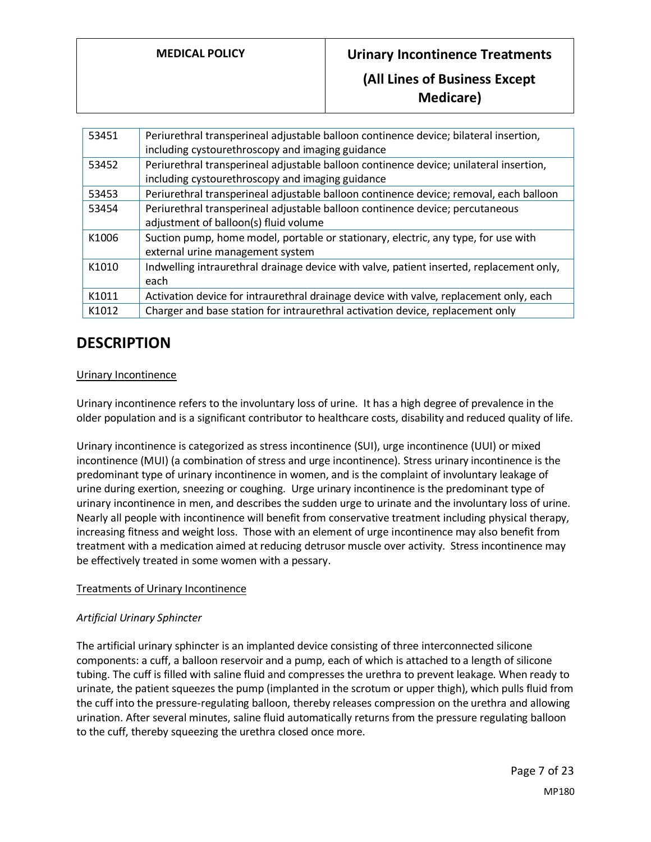**Medicare)**

| 53451 | Periurethral transperineal adjustable balloon continence device; bilateral insertion,<br>including cystourethroscopy and imaging guidance  |
|-------|--------------------------------------------------------------------------------------------------------------------------------------------|
| 53452 | Periurethral transperineal adjustable balloon continence device; unilateral insertion,<br>including cystourethroscopy and imaging guidance |
| 53453 | Periurethral transperineal adjustable balloon continence device; removal, each balloon                                                     |
| 53454 | Periurethral transperineal adjustable balloon continence device; percutaneous<br>adjustment of balloon(s) fluid volume                     |
| K1006 | Suction pump, home model, portable or stationary, electric, any type, for use with<br>external urine management system                     |
| K1010 | Indwelling intraurethral drainage device with valve, patient inserted, replacement only,<br>each                                           |
| K1011 | Activation device for intraurethral drainage device with valve, replacement only, each                                                     |
| K1012 | Charger and base station for intraurethral activation device, replacement only                                                             |

# **DESCRIPTION**

# Urinary Incontinence

Urinary incontinence refers to the involuntary loss of urine. It has a high degree of prevalence in the older population and is a significant contributor to healthcare costs, disability and reduced quality of life.

Urinary incontinence is categorized as stress incontinence (SUI), urge incontinence (UUI) or mixed incontinence (MUI) (a combination of stress and urge incontinence). Stress urinary incontinence is the predominant type of urinary incontinence in women, and is the complaint of involuntary leakage of urine during exertion, sneezing or coughing. Urge urinary incontinence is the predominant type of urinary incontinence in men, and describes the sudden urge to urinate and the involuntary loss of urine. Nearly all people with incontinence will benefit from conservative treatment including physical therapy, increasing fitness and weight loss. Those with an element of urge incontinence may also benefit from treatment with a medication aimed at reducing detrusor muscle over activity. Stress incontinence may be effectively treated in some women with a pessary.

# Treatments of Urinary Incontinence

# *Artificial Urinary Sphincter*

The artificial urinary sphincter is an implanted device consisting of three interconnected silicone components: a cuff, a balloon reservoir and a pump, each of which is attached to a length of silicone tubing. The cuff is filled with saline fluid and compresses the urethra to prevent leakage. When ready to urinate, the patient squeezes the pump (implanted in the scrotum or upper thigh), which pulls fluid from the cuff into the pressure-regulating balloon, thereby releases compression on the urethra and allowing urination. After several minutes, saline fluid automatically returns from the pressure regulating balloon to the cuff, thereby squeezing the urethra closed once more.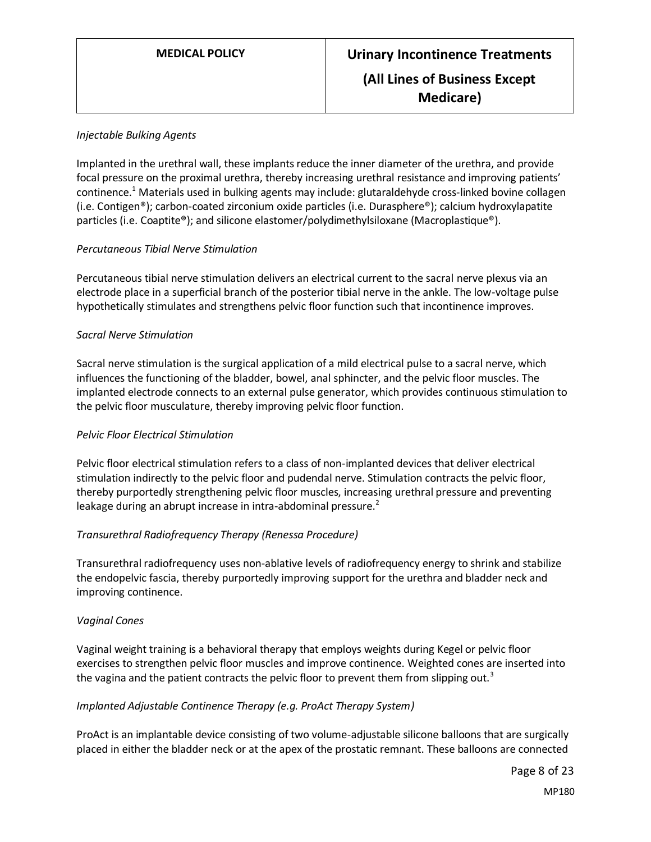## *Injectable Bulking Agents*

Implanted in the urethral wall, these implants reduce the inner diameter of the urethra, and provide focal pressure on the proximal urethra, thereby increasing urethral resistance and improving patients' continence.<sup>1</sup> Materials used in bulking agents may include: glutaraldehyde cross-linked bovine collagen (i.e. Contigen®); carbon-coated zirconium oxide particles (i.e. Durasphere®); calcium hydroxylapatite particles (i.e. Coaptite®); and silicone elastomer/polydimethylsiloxane (Macroplastique®).

## *Percutaneous Tibial Nerve Stimulation*

Percutaneous tibial nerve stimulation delivers an electrical current to the sacral nerve plexus via an electrode place in a superficial branch of the posterior tibial nerve in the ankle. The low-voltage pulse hypothetically stimulates and strengthens pelvic floor function such that incontinence improves.

## *Sacral Nerve Stimulation*

Sacral nerve stimulation is the surgical application of a mild electrical pulse to a sacral nerve, which influences the functioning of the bladder, bowel, anal sphincter, and the pelvic floor muscles. The implanted electrode connects to an external pulse generator, which provides continuous stimulation to the pelvic floor musculature, thereby improving pelvic floor function.

# *Pelvic Floor Electrical Stimulation*

Pelvic floor electrical stimulation refers to a class of non-implanted devices that deliver electrical stimulation indirectly to the pelvic floor and pudendal nerve. Stimulation contracts the pelvic floor, thereby purportedly strengthening pelvic floor muscles, increasing urethral pressure and preventing leakage during an abrupt increase in intra-abdominal pressure.<sup>2</sup>

# *Transurethral Radiofrequency Therapy (Renessa Procedure)*

Transurethral radiofrequency uses non-ablative levels of radiofrequency energy to shrink and stabilize the endopelvic fascia, thereby purportedly improving support for the urethra and bladder neck and improving continence.

#### *Vaginal Cones*

Vaginal weight training is a behavioral therapy that employs weights during Kegel or pelvic floor exercises to strengthen pelvic floor muscles and improve continence. Weighted cones are inserted into the vagina and the patient contracts the pelvic floor to prevent them from slipping out.<sup>3</sup>

#### *Implanted Adjustable Continence Therapy (e.g. ProAct Therapy System)*

ProAct is an implantable device consisting of two volume-adjustable silicone balloons that are surgically placed in either the bladder neck or at the apex of the prostatic remnant. These balloons are connected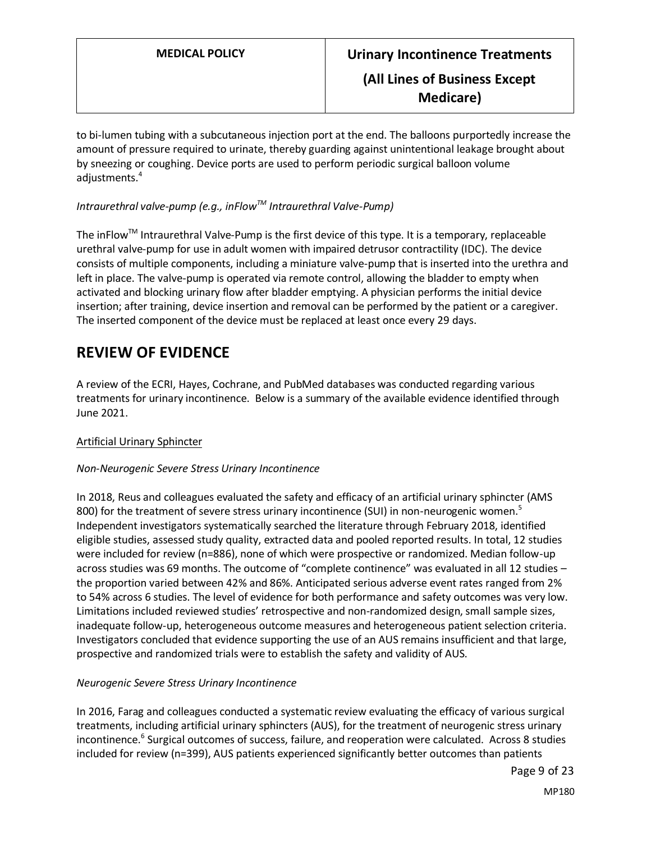to bi-lumen tubing with a subcutaneous injection port at the end. The balloons purportedly increase the amount of pressure required to urinate, thereby guarding against unintentional leakage brought about by sneezing or coughing. Device ports are used to perform periodic surgical balloon volume adjustments.<sup>4</sup>

# *Intraurethral valve-pump (e.g., inFlowTM Intraurethral Valve-Pump)*

The inFlowTM Intraurethral Valve-Pump is the first device of this type. It is a temporary, replaceable urethral valve-pump for use in adult women with impaired detrusor contractility (IDC). The device consists of multiple components, including a miniature valve-pump that is inserted into the urethra and left in place. The valve-pump is operated via remote control, allowing the bladder to empty when activated and blocking urinary flow after bladder emptying. A physician performs the initial device insertion; after training, device insertion and removal can be performed by the patient or a caregiver. The inserted component of the device must be replaced at least once every 29 days.

# **REVIEW OF EVIDENCE**

A review of the ECRI, Hayes, Cochrane, and PubMed databases was conducted regarding various treatments for urinary incontinence. Below is a summary of the available evidence identified through June 2021.

# Artificial Urinary Sphincter

# *Non-Neurogenic Severe Stress Urinary Incontinence*

In 2018, Reus and colleagues evaluated the safety and efficacy of an artificial urinary sphincter (AMS 800) for the treatment of severe stress urinary incontinence (SUI) in non-neurogenic women.<sup>5</sup> Independent investigators systematically searched the literature through February 2018, identified eligible studies, assessed study quality, extracted data and pooled reported results. In total, 12 studies were included for review (n=886), none of which were prospective or randomized. Median follow-up across studies was 69 months. The outcome of "complete continence" was evaluated in all 12 studies – the proportion varied between 42% and 86%. Anticipated serious adverse event rates ranged from 2% to 54% across 6 studies. The level of evidence for both performance and safety outcomes was very low. Limitations included reviewed studies' retrospective and non-randomized design, small sample sizes, inadequate follow-up, heterogeneous outcome measures and heterogeneous patient selection criteria. Investigators concluded that evidence supporting the use of an AUS remains insufficient and that large, prospective and randomized trials were to establish the safety and validity of AUS.

# *Neurogenic Severe Stress Urinary Incontinence*

In 2016, Farag and colleagues conducted a systematic review evaluating the efficacy of various surgical treatments, including artificial urinary sphincters (AUS), for the treatment of neurogenic stress urinary incontinence.<sup>6</sup> Surgical outcomes of success, failure, and reoperation were calculated. Across 8 studies included for review (n=399), AUS patients experienced significantly better outcomes than patients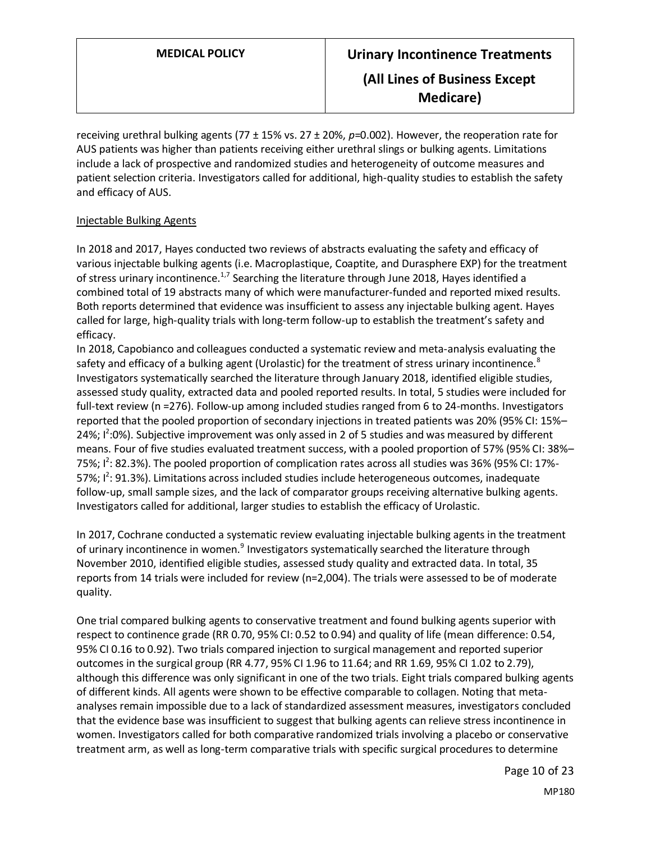receiving urethral bulking agents (77 ± 15% vs. 27 ± 20%, *p*=0.002). However, the reoperation rate for AUS patients was higher than patients receiving either urethral slings or bulking agents. Limitations include a lack of prospective and randomized studies and heterogeneity of outcome measures and patient selection criteria. Investigators called for additional, high-quality studies to establish the safety and efficacy of AUS.

## Injectable Bulking Agents

In 2018 and 2017, Hayes conducted two reviews of abstracts evaluating the safety and efficacy of various injectable bulking agents (i.e. Macroplastique, Coaptite, and Durasphere EXP) for the treatment of stress urinary incontinence.<sup>1,7</sup> Searching the literature through June 2018, Hayes identified a combined total of 19 abstracts many of which were manufacturer-funded and reported mixed results. Both reports determined that evidence was insufficient to assess any injectable bulking agent. Hayes called for large, high-quality trials with long-term follow-up to establish the treatment's safety and efficacy.

In 2018, Capobianco and colleagues conducted a systematic review and meta-analysis evaluating the safety and efficacy of a bulking agent (Urolastic) for the treatment of stress urinary incontinence.<sup>8</sup> Investigators systematically searched the literature through January 2018, identified eligible studies, assessed study quality, extracted data and pooled reported results. In total, 5 studies were included for full-text review (n =276). Follow-up among included studies ranged from 6 to 24-months. Investigators reported that the pooled proportion of secondary injections in treated patients was 20% (95% CI: 15%– 24%;  $1^2$ :0%). Subjective improvement was only assed in 2 of 5 studies and was measured by different means. Four of five studies evaluated treatment success, with a pooled proportion of 57% (95% CI: 38%– 75%;  $1^2$ : 82.3%). The pooled proportion of complication rates across all studies was 36% (95% CI: 17%-57%;  $1^2$ : 91.3%). Limitations across included studies include heterogeneous outcomes, inadequate follow-up, small sample sizes, and the lack of comparator groups receiving alternative bulking agents. Investigators called for additional, larger studies to establish the efficacy of Urolastic.

In 2017, Cochrane conducted a systematic review evaluating injectable bulking agents in the treatment of urinary incontinence in women.<sup>9</sup> Investigators systematically searched the literature through November 2010, identified eligible studies, assessed study quality and extracted data. In total, 35 reports from 14 trials were included for review (n=2,004). The trials were assessed to be of moderate quality.

One trial compared bulking agents to conservative treatment and found bulking agents superior with respect to continence grade (RR 0.70, 95% CI: 0.52 to 0.94) and quality of life (mean difference: 0.54, 95% CI 0.16 to 0.92). Two trials compared injection to surgical management and reported superior outcomes in the surgical group (RR 4.77, 95% CI 1.96 to 11.64; and RR 1.69, 95% CI 1.02 to 2.79), although this difference was only significant in one of the two trials. Eight trials compared bulking agents of different kinds. All agents were shown to be effective comparable to collagen. Noting that metaanalyses remain impossible due to a lack of standardized assessment measures, investigators concluded that the evidence base was insufficient to suggest that bulking agents can relieve stress incontinence in women. Investigators called for both comparative randomized trials involving a placebo or conservative treatment arm, as well as long-term comparative trials with specific surgical procedures to determine

> Page 10 of 23 MP180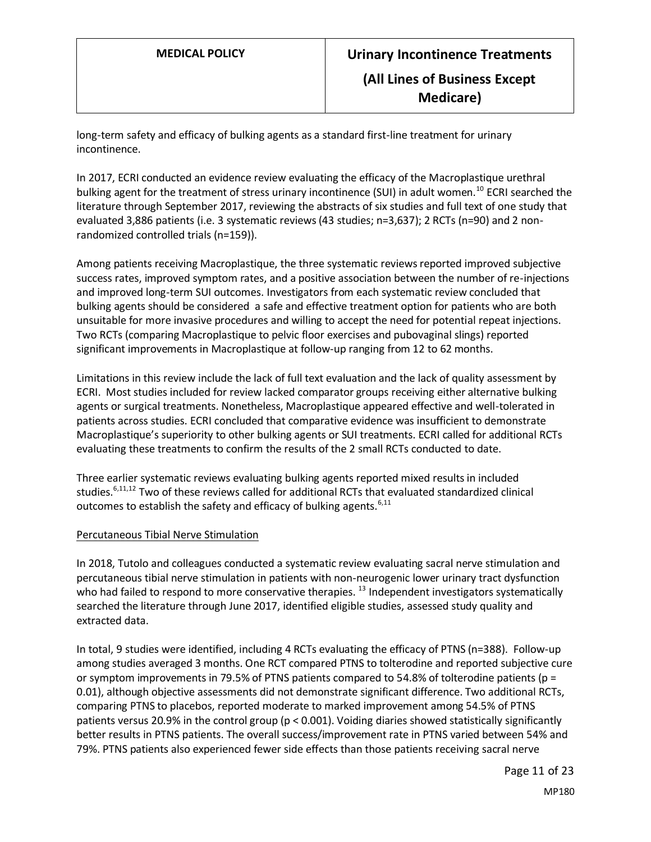long-term safety and efficacy of bulking agents as a standard first-line treatment for urinary incontinence.

In 2017, ECRI conducted an evidence review evaluating the efficacy of the Macroplastique urethral bulking agent for the treatment of stress urinary incontinence (SUI) in adult women.<sup>10</sup> ECRI searched the literature through September 2017, reviewing the abstracts of six studies and full text of one study that evaluated 3,886 patients (i.e. 3 systematic reviews (43 studies; n=3,637); 2 RCTs (n=90) and 2 nonrandomized controlled trials (n=159)).

Among patients receiving Macroplastique, the three systematic reviews reported improved subjective success rates, improved symptom rates, and a positive association between the number of re-injections and improved long-term SUI outcomes. Investigators from each systematic review concluded that bulking agents should be considered a safe and effective treatment option for patients who are both unsuitable for more invasive procedures and willing to accept the need for potential repeat injections. Two RCTs (comparing Macroplastique to pelvic floor exercises and pubovaginal slings) reported significant improvements in Macroplastique at follow-up ranging from 12 to 62 months.

Limitations in this review include the lack of full text evaluation and the lack of quality assessment by ECRI. Most studies included for review lacked comparator groups receiving either alternative bulking agents or surgical treatments. Nonetheless, Macroplastique appeared effective and well-tolerated in patients across studies. ECRI concluded that comparative evidence was insufficient to demonstrate Macroplastique's superiority to other bulking agents or SUI treatments. ECRI called for additional RCTs evaluating these treatments to confirm the results of the 2 small RCTs conducted to date.

Three earlier systematic reviews evaluating bulking agents reported mixed results in included studies.<sup>6,11,12</sup> Two of these reviews called for additional RCTs that evaluated standardized clinical outcomes to establish the safety and efficacy of bulking agents.  $6,11$ 

#### Percutaneous Tibial Nerve Stimulation

In 2018, Tutolo and colleagues conducted a systematic review evaluating sacral nerve stimulation and percutaneous tibial nerve stimulation in patients with non-neurogenic lower urinary tract dysfunction who had failed to respond to more conservative therapies.<sup>13</sup> Independent investigators systematically searched the literature through June 2017, identified eligible studies, assessed study quality and extracted data.

In total, 9 studies were identified, including 4 RCTs evaluating the efficacy of PTNS (n=388). Follow-up among studies averaged 3 months. One RCT compared PTNS to tolterodine and reported subjective cure or symptom improvements in 79.5% of PTNS patients compared to 54.8% of tolterodine patients (p = 0.01), although objective assessments did not demonstrate significant difference. Two additional RCTs, comparing PTNS to placebos, reported moderate to marked improvement among 54.5% of PTNS patients versus 20.9% in the control group (p < 0.001). Voiding diaries showed statistically significantly better results in PTNS patients. The overall success/improvement rate in PTNS varied between 54% and 79%. PTNS patients also experienced fewer side effects than those patients receiving sacral nerve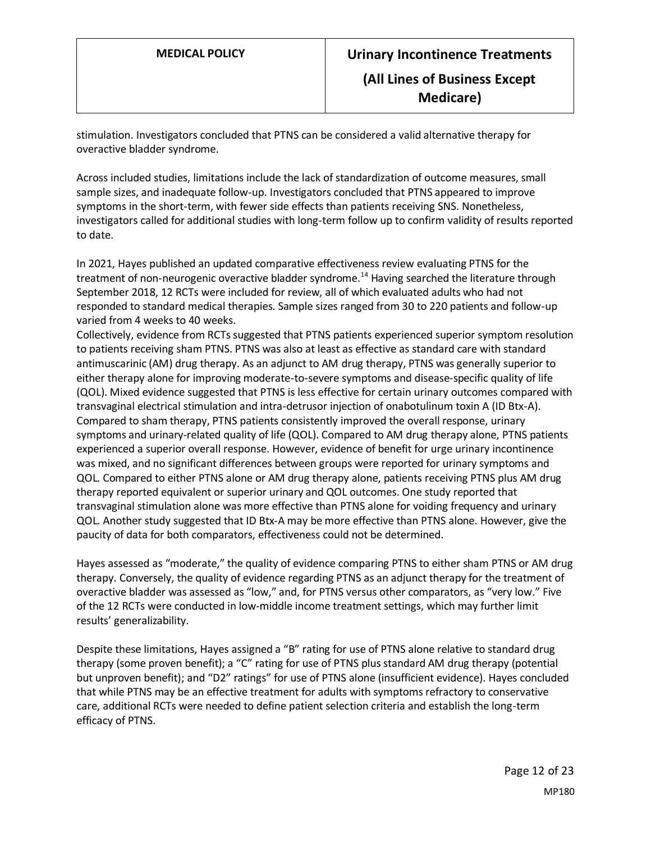stimulation. Investigators concluded that PTNS can be considered a valid alternative therapy for overactive bladder syndrome.

Across included studies, limitations include the lack of standardization of outcome measures, small sample sizes, and inadequate follow-up. Investigators concluded that PTNS appeared to improve symptoms in the short-term, with fewer side effects than patients receiving SNS. Nonetheless, investigators called for additional studies with long-term follow up to confirm validity of results reported to date.

In 2021, Hayes published an updated comparative effectiveness review evaluating PTNS for the treatment of non-neurogenic overactive bladder syndrome.<sup>14</sup> Having searched the literature through September 2018, 12 RCTs were included for review, all of which evaluated adults who had not responded to standard medical therapies. Sample sizes ranged from 30 to 220 patients and follow-up varied from 4 weeks to 40 weeks.

Collectively, evidence from RCTs suggested that PTNS patients experienced superior symptom resolution to patients receiving sham PTNS. PTNS was also at least as effective as standard care with standard antimuscarinic (AM) drug therapy. As an adjunct to AM drug therapy, PTNS was generally superior to either therapy alone for improving moderate-to-severe symptoms and disease-specific quality of life (QOL). Mixed evidence suggested that PTNS is less effective for certain urinary outcomes compared with transvaginal electrical stimulation and intra-detrusor injection of onabotulinum toxin A (ID Btx-A). Compared to sham therapy, PTNS patients consistently improved the overall response, urinary symptoms and urinary-related quality of life (QOL). Compared to AM drug therapy alone, PTNS patients experienced a superior overall response. However, evidence of benefit for urge urinary incontinence was mixed, and no significant differences between groups were reported for urinary symptoms and QOL. Compared to either PTNS alone or AM drug therapy alone, patients receiving PTNS plus AM drug therapy reported equivalent or superior urinary and QOL outcomes. One study reported that transvaginal stimulation alone was more effective than PTNS alone for voiding frequency and urinary QOL. Another study suggested that ID Btx-A may be more effective than PTNS alone. However, give the paucity of data for both comparators, effectiveness could not be determined.

Hayes assessed as "moderate," the quality of evidence comparing PTNS to either sham PTNS or AM drug therapy. Conversely, the quality of evidence regarding PTNS as an adjunct therapy for the treatment of overactive bladder was assessed as "low," and, for PTNS versus other comparators, as "very low." Five of the 12 RCTs were conducted in low-middle income treatment settings, which may further limit results' generalizability.

Despite these limitations, Hayes assigned a "B" rating for use of PTNS alone relative to standard drug therapy (some proven benefit); a "C" rating for use of PTNS plus standard AM drug therapy (potential but unproven benefit); and "D2" ratings" for use of PTNS alone (insufficient evidence). Hayes concluded that while PTNS may be an effective treatment for adults with symptoms refractory to conservative care, additional RCTs were needed to define patient selection criteria and establish the long-term efficacy of PTNS.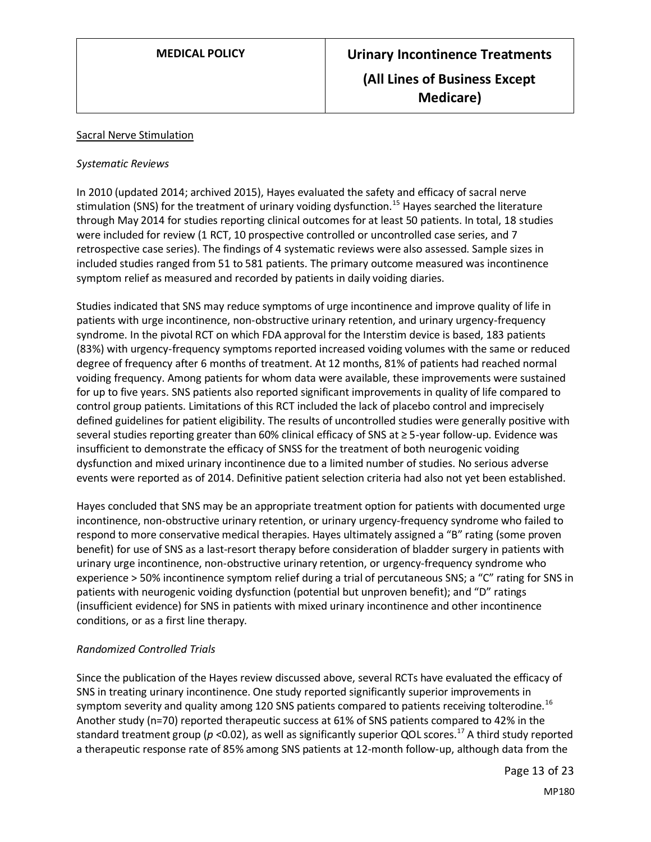### Sacral Nerve Stimulation

### *Systematic Reviews*

In 2010 (updated 2014; archived 2015), Hayes evaluated the safety and efficacy of sacral nerve stimulation (SNS) for the treatment of urinary voiding dysfunction.<sup>15</sup> Hayes searched the literature through May 2014 for studies reporting clinical outcomes for at least 50 patients. In total, 18 studies were included for review (1 RCT, 10 prospective controlled or uncontrolled case series, and 7 retrospective case series). The findings of 4 systematic reviews were also assessed. Sample sizes in included studies ranged from 51 to 581 patients. The primary outcome measured was incontinence symptom relief as measured and recorded by patients in daily voiding diaries.

Studies indicated that SNS may reduce symptoms of urge incontinence and improve quality of life in patients with urge incontinence, non-obstructive urinary retention, and urinary urgency-frequency syndrome. In the pivotal RCT on which FDA approval for the Interstim device is based, 183 patients (83%) with urgency-frequency symptoms reported increased voiding volumes with the same or reduced degree of frequency after 6 months of treatment. At 12 months, 81% of patients had reached normal voiding frequency. Among patients for whom data were available, these improvements were sustained for up to five years. SNS patients also reported significant improvements in quality of life compared to control group patients. Limitations of this RCT included the lack of placebo control and imprecisely defined guidelines for patient eligibility. The results of uncontrolled studies were generally positive with several studies reporting greater than 60% clinical efficacy of SNS at ≥ 5-year follow-up. Evidence was insufficient to demonstrate the efficacy of SNSS for the treatment of both neurogenic voiding dysfunction and mixed urinary incontinence due to a limited number of studies. No serious adverse events were reported as of 2014. Definitive patient selection criteria had also not yet been established.

Hayes concluded that SNS may be an appropriate treatment option for patients with documented urge incontinence, non-obstructive urinary retention, or urinary urgency-frequency syndrome who failed to respond to more conservative medical therapies. Hayes ultimately assigned a "B" rating (some proven benefit) for use of SNS as a last-resort therapy before consideration of bladder surgery in patients with urinary urge incontinence, non-obstructive urinary retention, or urgency-frequency syndrome who experience > 50% incontinence symptom relief during a trial of percutaneous SNS; a "C" rating for SNS in patients with neurogenic voiding dysfunction (potential but unproven benefit); and "D" ratings (insufficient evidence) for SNS in patients with mixed urinary incontinence and other incontinence conditions, or as a first line therapy.

# *Randomized Controlled Trials*

Since the publication of the Hayes review discussed above, several RCTs have evaluated the efficacy of SNS in treating urinary incontinence. One study reported significantly superior improvements in symptom severity and quality among 120 SNS patients compared to patients receiving tolterodine.<sup>16</sup> Another study (n=70) reported therapeutic success at 61% of SNS patients compared to 42% in the standard treatment group (*p* <0.02), as well as significantly superior QOL scores.<sup>17</sup> A third study reported a therapeutic response rate of 85% among SNS patients at 12-month follow-up, although data from the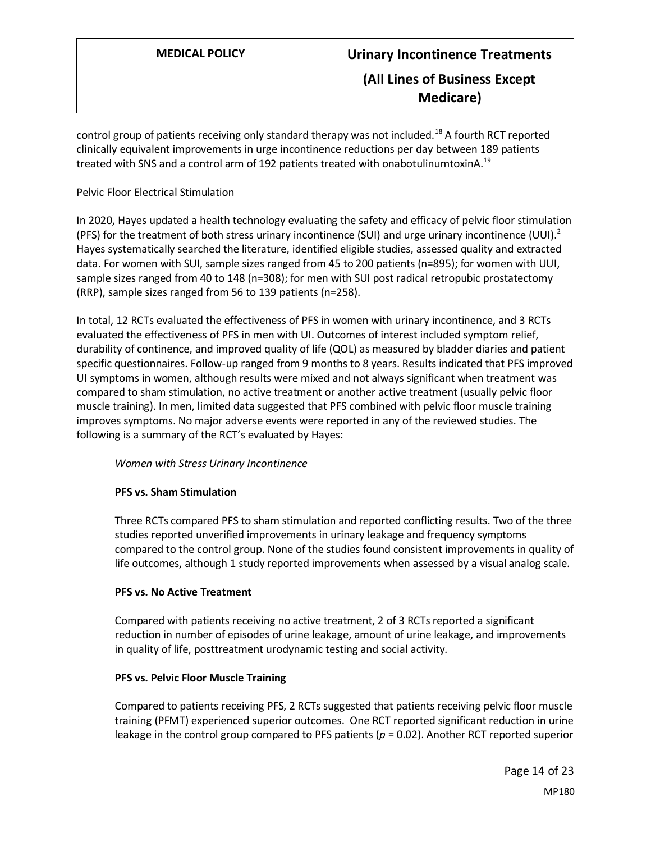control group of patients receiving only standard therapy was not included.<sup>18</sup> A fourth RCT reported clinically equivalent improvements in urge incontinence reductions per day between 189 patients treated with SNS and a control arm of 192 patients treated with onabotulinumtoxinA.<sup>19</sup>

# Pelvic Floor Electrical Stimulation

In 2020, Hayes updated a health technology evaluating the safety and efficacy of pelvic floor stimulation (PFS) for the treatment of both stress urinary incontinence (SUI) and urge urinary incontinence (UUI).<sup>2</sup> Hayes systematically searched the literature, identified eligible studies, assessed quality and extracted data. For women with SUI, sample sizes ranged from 45 to 200 patients (n=895); for women with UUI, sample sizes ranged from 40 to 148 (n=308); for men with SUI post radical retropubic prostatectomy (RRP), sample sizes ranged from 56 to 139 patients (n=258).

In total, 12 RCTs evaluated the effectiveness of PFS in women with urinary incontinence, and 3 RCTs evaluated the effectiveness of PFS in men with UI. Outcomes of interest included symptom relief, durability of continence, and improved quality of life (QOL) as measured by bladder diaries and patient specific questionnaires. Follow-up ranged from 9 months to 8 years. Results indicated that PFS improved UI symptoms in women, although results were mixed and not always significant when treatment was compared to sham stimulation, no active treatment or another active treatment (usually pelvic floor muscle training). In men, limited data suggested that PFS combined with pelvic floor muscle training improves symptoms. No major adverse events were reported in any of the reviewed studies. The following is a summary of the RCT's evaluated by Hayes:

# *Women with Stress Urinary Incontinence*

# **PFS vs. Sham Stimulation**

Three RCTs compared PFS to sham stimulation and reported conflicting results. Two of the three studies reported unverified improvements in urinary leakage and frequency symptoms compared to the control group. None of the studies found consistent improvements in quality of life outcomes, although 1 study reported improvements when assessed by a visual analog scale.

#### **PFS vs. No Active Treatment**

Compared with patients receiving no active treatment, 2 of 3 RCTs reported a significant reduction in number of episodes of urine leakage, amount of urine leakage, and improvements in quality of life, posttreatment urodynamic testing and social activity.

#### **PFS vs. Pelvic Floor Muscle Training**

Compared to patients receiving PFS, 2 RCTs suggested that patients receiving pelvic floor muscle training (PFMT) experienced superior outcomes. One RCT reported significant reduction in urine leakage in the control group compared to PFS patients ( $p = 0.02$ ). Another RCT reported superior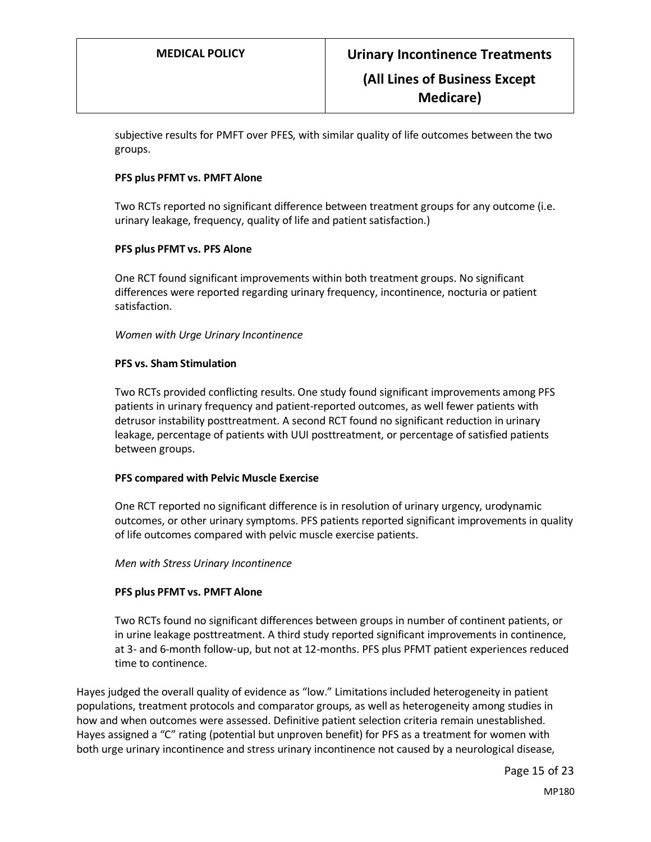subjective results for PMFT over PFES, with similar quality of life outcomes between the two groups.

#### **PFS plus PFMT vs. PMFT Alone**

Two RCTs reported no significant difference between treatment groups for any outcome (i.e. urinary leakage, frequency, quality of life and patient satisfaction.)

#### **PFS plus PFMT vs. PFS Alone**

One RCT found significant improvements within both treatment groups. No significant differences were reported regarding urinary frequency, incontinence, nocturia or patient satisfaction.

#### *Women with Urge Urinary Incontinence*

#### **PFS vs. Sham Stimulation**

Two RCTs provided conflicting results. One study found significant improvements among PFS patients in urinary frequency and patient-reported outcomes, as well fewer patients with detrusor instability posttreatment. A second RCT found no significant reduction in urinary leakage, percentage of patients with UUI posttreatment, or percentage of satisfied patients between groups.

#### **PFS compared with Pelvic Muscle Exercise**

One RCT reported no significant difference is in resolution of urinary urgency, urodynamic outcomes, or other urinary symptoms. PFS patients reported significant improvements in quality of life outcomes compared with pelvic muscle exercise patients.

#### *Men with Stress Urinary Incontinence*

#### **PFS plus PFMT vs. PMFT Alone**

Two RCTs found no significant differences between groups in number of continent patients, or in urine leakage posttreatment. A third study reported significant improvements in continence, at 3- and 6-month follow-up, but not at 12-months. PFS plus PFMT patient experiences reduced time to continence.

Hayes judged the overall quality of evidence as "low." Limitations included heterogeneity in patient populations, treatment protocols and comparator groups, as well as heterogeneity among studies in how and when outcomes were assessed. Definitive patient selection criteria remain unestablished. Hayes assigned a "C" rating (potential but unproven benefit) for PFS as a treatment for women with both urge urinary incontinence and stress urinary incontinence not caused by a neurological disease,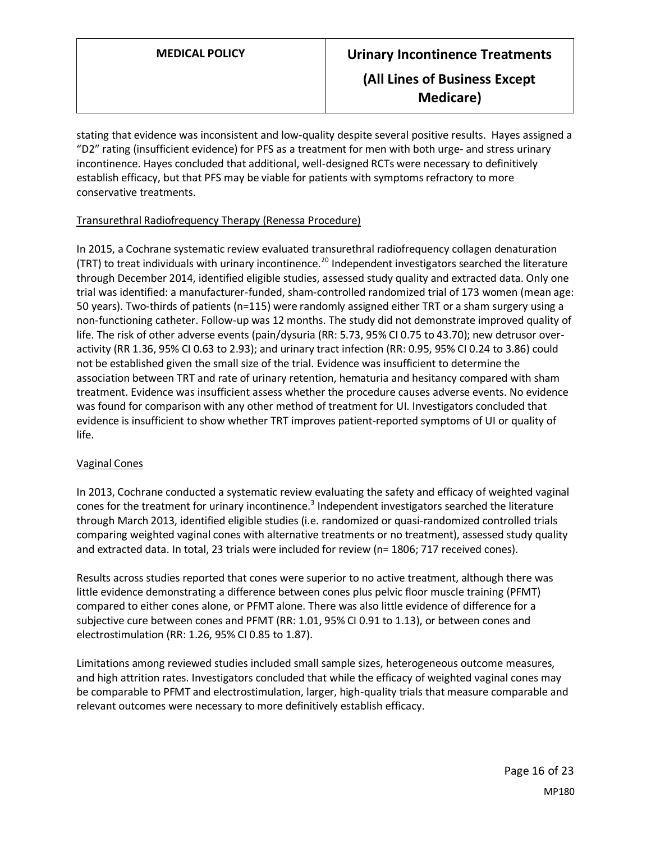stating that evidence was inconsistent and low-quality despite several positive results. Hayes assigned a "D2" rating (insufficient evidence) for PFS as a treatment for men with both urge- and stress urinary incontinence. Hayes concluded that additional, well-designed RCTs were necessary to definitively establish efficacy, but that PFS may be viable for patients with symptoms refractory to more conservative treatments.

## Transurethral Radiofrequency Therapy (Renessa Procedure)

In 2015, a Cochrane systematic review evaluated transurethral radiofrequency collagen denaturation (TRT) to treat individuals with urinary incontinence.<sup>20</sup> Independent investigators searched the literature through December 2014, identified eligible studies, assessed study quality and extracted data. Only one trial was identified: a manufacturer-funded, sham-controlled randomized trial of 173 women (mean age: 50 years). Two-thirds of patients (n=115) were randomly assigned either TRT or a sham surgery using a non-functioning catheter. Follow-up was 12 months. The study did not demonstrate improved quality of life. The risk of other adverse events (pain/dysuria (RR: 5.73, 95% CI 0.75 to 43.70); new detrusor overactivity (RR 1.36, 95% CI 0.63 to 2.93); and urinary tract infection (RR: 0.95, 95% CI 0.24 to 3.86) could not be established given the small size of the trial. Evidence was insufficient to determine the association between TRT and rate of urinary retention, hematuria and hesitancy compared with sham treatment. Evidence was insufficient assess whether the procedure causes adverse events. No evidence was found for comparison with any other method of treatment for UI. Investigators concluded that evidence is insufficient to show whether TRT improves patient-reported symptoms of UI or quality of life.

#### Vaginal Cones

In 2013, Cochrane conducted a systematic review evaluating the safety and efficacy of weighted vaginal cones for the treatment for urinary incontinence.<sup>3</sup> Independent investigators searched the literature through March 2013, identified eligible studies (i.e. randomized or quasi-randomized controlled trials comparing weighted vaginal cones with alternative treatments or no treatment), assessed study quality and extracted data. In total, 23 trials were included for review (n= 1806; 717 received cones).

Results across studies reported that cones were superior to no active treatment, although there was little evidence demonstrating a difference between cones plus pelvic floor muscle training (PFMT) compared to either cones alone, or PFMT alone. There was also little evidence of difference for a subjective cure between cones and PFMT (RR: 1.01, 95% CI 0.91 to 1.13), or between cones and electrostimulation (RR: 1.26, 95% CI 0.85 to 1.87).

Limitations among reviewed studies included small sample sizes, heterogeneous outcome measures, and high attrition rates. Investigators concluded that while the efficacy of weighted vaginal cones may be comparable to PFMT and electrostimulation, larger, high-quality trials that measure comparable and relevant outcomes were necessary to more definitively establish efficacy.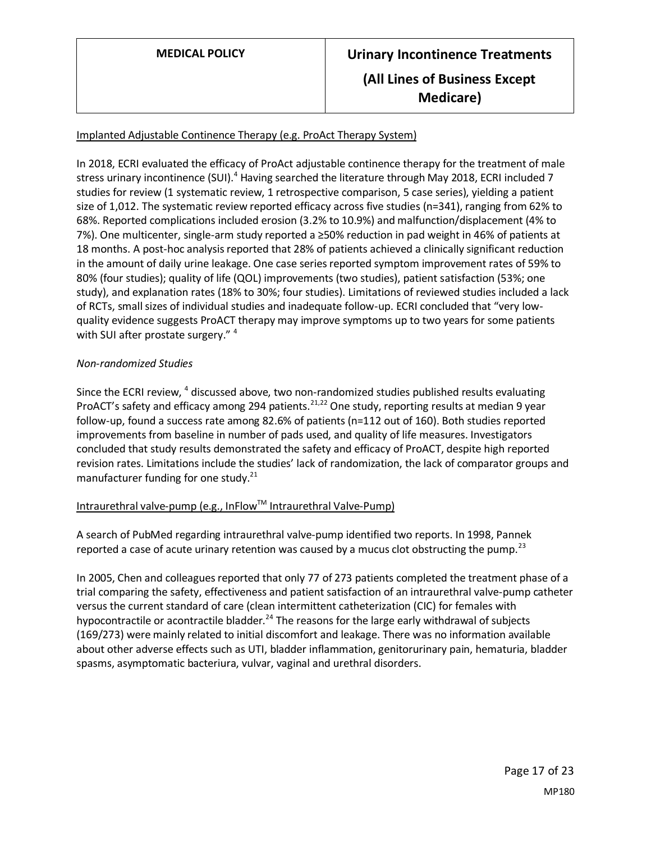# Implanted Adjustable Continence Therapy (e.g. ProAct Therapy System)

In 2018, ECRI evaluated the efficacy of ProAct adjustable continence therapy for the treatment of male stress urinary incontinence (SUI).<sup>4</sup> Having searched the literature through May 2018, ECRI included 7 studies for review (1 systematic review, 1 retrospective comparison, 5 case series), yielding a patient size of 1,012. The systematic review reported efficacy across five studies (n=341), ranging from 62% to 68%. Reported complications included erosion (3.2% to 10.9%) and malfunction/displacement (4% to 7%). One multicenter, single-arm study reported a ≥50% reduction in pad weight in 46% of patients at 18 months. A post-hoc analysis reported that 28% of patients achieved a clinically significant reduction in the amount of daily urine leakage. One case series reported symptom improvement rates of 59% to 80% (four studies); quality of life (QOL) improvements (two studies), patient satisfaction (53%; one study), and explanation rates (18% to 30%; four studies). Limitations of reviewed studies included a lack of RCTs, small sizes of individual studies and inadequate follow-up. ECRI concluded that "very lowquality evidence suggests ProACT therapy may improve symptoms up to two years for some patients with SUI after prostate surgery." 4

## *Non-randomized Studies*

Since the ECRI review, <sup>4</sup> discussed above, two non-randomized studies published results evaluating ProACT's safety and efficacy among 294 patients.<sup>21,22</sup> One study, reporting results at median 9 year follow-up, found a success rate among 82.6% of patients (n=112 out of 160). Both studies reported improvements from baseline in number of pads used, and quality of life measures. Investigators concluded that study results demonstrated the safety and efficacy of ProACT, despite high reported revision rates. Limitations include the studies' lack of randomization, the lack of comparator groups and manufacturer funding for one study. $21$ 

# Intraurethral valve-pump (e.g., InFlow™ Intraurethral Valve-Pump)

A search of PubMed regarding intraurethral valve-pump identified two reports. In 1998, Pannek reported a case of acute urinary retention was caused by a mucus clot obstructing the pump.<sup>23</sup>

In 2005, Chen and colleagues reported that only 77 of 273 patients completed the treatment phase of a trial comparing the safety, effectiveness and patient satisfaction of an intraurethral valve-pump catheter versus the current standard of care (clean intermittent catheterization (CIC) for females with hypocontractile or acontractile bladder.<sup>24</sup> The reasons for the large early withdrawal of subjects (169/273) were mainly related to initial discomfort and leakage. There was no information available about other adverse effects such as UTI, bladder inflammation, genitorurinary pain, hematuria, bladder spasms, asymptomatic bacteriura, vulvar, vaginal and urethral disorders.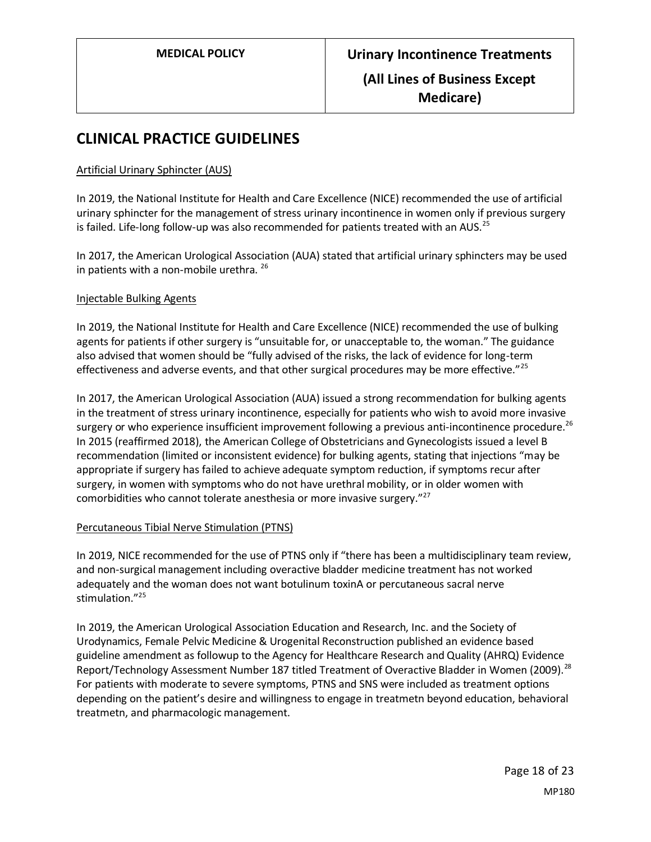# **CLINICAL PRACTICE GUIDELINES**

### Artificial Urinary Sphincter (AUS)

In 2019, the National Institute for Health and Care Excellence (NICE) recommended the use of artificial urinary sphincter for the management of stress urinary incontinence in women only if previous surgery is failed. Life-long follow-up was also recommended for patients treated with an AUS.<sup>25</sup>

In 2017, the American Urological Association (AUA) stated that artificial urinary sphincters may be used in patients with a non-mobile urethra. <sup>26</sup>

#### Injectable Bulking Agents

In 2019, the National Institute for Health and Care Excellence (NICE) recommended the use of bulking agents for patients if other surgery is "unsuitable for, or unacceptable to, the woman." The guidance also advised that women should be "fully advised of the risks, the lack of evidence for long-term effectiveness and adverse events, and that other surgical procedures may be more effective."<sup>25</sup>

In 2017, the American Urological Association (AUA) issued a strong recommendation for bulking agents in the treatment of stress urinary incontinence, especially for patients who wish to avoid more invasive surgery or who experience insufficient improvement following a previous anti-incontinence procedure.<sup>26</sup> In 2015 (reaffirmed 2018), the American College of Obstetricians and Gynecologists issued a level B recommendation (limited or inconsistent evidence) for bulking agents, stating that injections "may be appropriate if surgery has failed to achieve adequate symptom reduction, if symptoms recur after surgery, in women with symptoms who do not have urethral mobility, or in older women with comorbidities who cannot tolerate anesthesia or more invasive surgery."<sup>27</sup>

#### Percutaneous Tibial Nerve Stimulation (PTNS)

In 2019, NICE recommended for the use of PTNS only if "there has been a multidisciplinary team review, and non-surgical management including overactive bladder medicine treatment has not worked adequately and the woman does not want botulinum toxinA or percutaneous sacral nerve stimulation."<sup>25</sup>

In 2019, the American Urological Association Education and Research, Inc. and the Society of Urodynamics, Female Pelvic Medicine & Urogenital Reconstruction published an evidence based guideline amendment as followup to the Agency for Healthcare Research and Quality (AHRQ) Evidence Report/Technology Assessment Number 187 titled Treatment of Overactive Bladder in Women (2009).<sup>28</sup> For patients with moderate to severe symptoms, PTNS and SNS were included as treatment options depending on the patient's desire and willingness to engage in treatmetn beyond education, behavioral treatmetn, and pharmacologic management.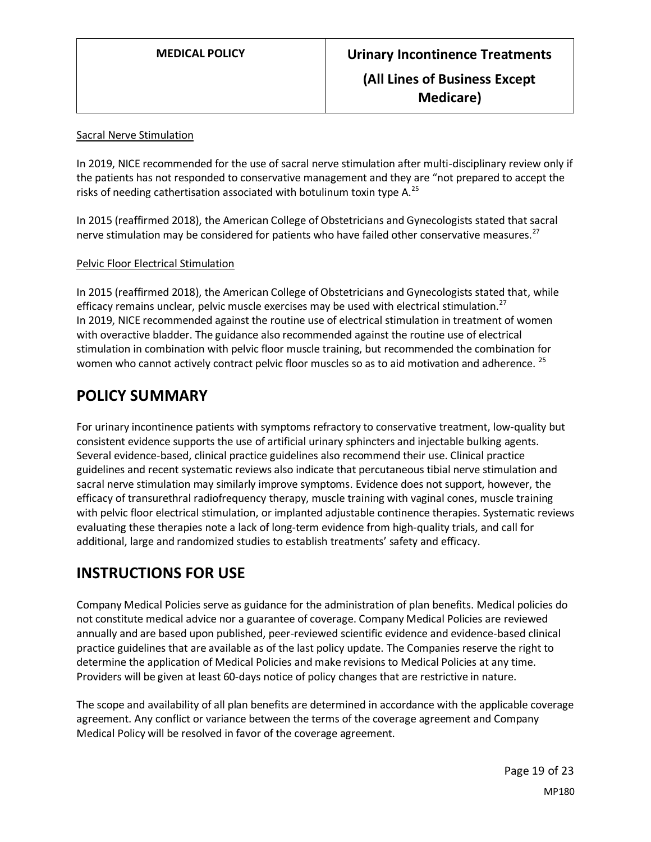## Sacral Nerve Stimulation

In 2019, NICE recommended for the use of sacral nerve stimulation after multi-disciplinary review only if the patients has not responded to conservative management and they are "not prepared to accept the risks of needing cathertisation associated with botulinum toxin type A.<sup>25</sup>

In 2015 (reaffirmed 2018), the American College of Obstetricians and Gynecologists stated that sacral nerve stimulation may be considered for patients who have failed other conservative measures.<sup>27</sup>

## Pelvic Floor Electrical Stimulation

In 2015 (reaffirmed 2018), the American College of Obstetricians and Gynecologists stated that, while efficacy remains unclear, pelvic muscle exercises may be used with electrical stimulation.<sup>27</sup> In 2019, NICE recommended against the routine use of electrical stimulation in treatment of women with overactive bladder. The guidance also recommended against the routine use of electrical stimulation in combination with pelvic floor muscle training, but recommended the combination for women who cannot actively contract pelvic floor muscles so as to aid motivation and adherence. <sup>25</sup>

# <span id="page-18-0"></span>**POLICY SUMMARY**

For urinary incontinence patients with symptoms refractory to conservative treatment, low-quality but consistent evidence supports the use of artificial urinary sphincters and injectable bulking agents. Several evidence-based, clinical practice guidelines also recommend their use. Clinical practice guidelines and recent systematic reviews also indicate that percutaneous tibial nerve stimulation and sacral nerve stimulation may similarly improve symptoms. Evidence does not support, however, the efficacy of transurethral radiofrequency therapy, muscle training with vaginal cones, muscle training with pelvic floor electrical stimulation, or implanted adjustable continence therapies. Systematic reviews evaluating these therapies note a lack of long-term evidence from high-quality trials, and call for additional, large and randomized studies to establish treatments' safety and efficacy.

# **INSTRUCTIONS FOR USE**

Company Medical Policies serve as guidance for the administration of plan benefits. Medical policies do not constitute medical advice nor a guarantee of coverage. Company Medical Policies are reviewed annually and are based upon published, peer-reviewed scientific evidence and evidence-based clinical practice guidelines that are available as of the last policy update. The Companies reserve the right to determine the application of Medical Policies and make revisions to Medical Policies at any time. Providers will be given at least 60-days notice of policy changes that are restrictive in nature.

The scope and availability of all plan benefits are determined in accordance with the applicable coverage agreement. Any conflict or variance between the terms of the coverage agreement and Company Medical Policy will be resolved in favor of the coverage agreement.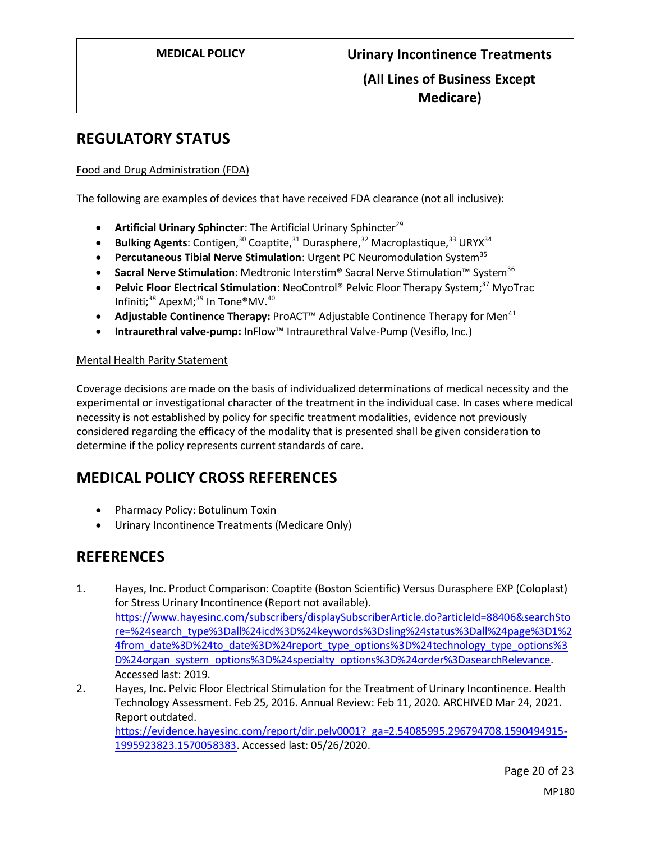# **REGULATORY STATUS**

## Food and Drug Administration (FDA)

The following are examples of devices that have received FDA clearance (not all inclusive):

- **•** Artificial Urinary Sphincter: The Artificial Urinary Sphincter<sup>29</sup>
- Bulking Agents: Contigen,<sup>30</sup> Coaptite,<sup>31</sup> Durasphere,<sup>32</sup> Macroplastique,<sup>33</sup> URYX<sup>34</sup>
- **Percutaneous Tibial Nerve Stimulation**: Urgent PC Neuromodulation System<sup>35</sup>
- **Sacral Nerve Stimulation**: Medtronic Interstim® Sacral Nerve Stimulation™ System<sup>36</sup>
- **Pelvic Floor Electrical Stimulation**: NeoControl® Pelvic Floor Therapy System;<sup>37</sup> MyoTrac Infiniti; <sup>38</sup> ApexM; <sup>39</sup> In Tone®MV. 40
- Adjustable Continence Therapy: ProACT<sup>™</sup> Adjustable Continence Therapy for Men<sup>41</sup>
- **Intraurethral valve-pump:** InFlow™ Intraurethral Valve-Pump (Vesiflo, Inc.)

## Mental Health Parity Statement

Coverage decisions are made on the basis of individualized determinations of medical necessity and the experimental or investigational character of the treatment in the individual case. In cases where medical necessity is not established by policy for specific treatment modalities, evidence not previously considered regarding the efficacy of the modality that is presented shall be given consideration to determine if the policy represents current standards of care.

# **MEDICAL POLICY CROSS REFERENCES**

- Pharmacy Policy: Botulinum Toxin
- Urinary Incontinence Treatments (Medicare Only)

# **REFERENCES**

- 1. Hayes, Inc. Product Comparison: Coaptite (Boston Scientific) Versus Durasphere EXP (Coloplast) for Stress Urinary Incontinence (Report not available). [https://www.hayesinc.com/subscribers/displaySubscriberArticle.do?articleId=88406&searchSto](https://www.hayesinc.com/subscribers/displaySubscriberArticle.do?articleId=88406&searchStore=%24search_type%3Dall%24icd%3D%24keywords%3Dsling%24status%3Dall%24page%3D1%24from_date%3D%24to_date%3D%24report_type_options%3D%24technology_type_options%3D%24organ_system_options%3D%24specialty_options%3D%24order%3DasearchRelevance) [re=%24search\\_type%3Dall%24icd%3D%24keywords%3Dsling%24status%3Dall%24page%3D1%2](https://www.hayesinc.com/subscribers/displaySubscriberArticle.do?articleId=88406&searchStore=%24search_type%3Dall%24icd%3D%24keywords%3Dsling%24status%3Dall%24page%3D1%24from_date%3D%24to_date%3D%24report_type_options%3D%24technology_type_options%3D%24organ_system_options%3D%24specialty_options%3D%24order%3DasearchRelevance) [4from\\_date%3D%24to\\_date%3D%24report\\_type\\_options%3D%24technology\\_type\\_options%3](https://www.hayesinc.com/subscribers/displaySubscriberArticle.do?articleId=88406&searchStore=%24search_type%3Dall%24icd%3D%24keywords%3Dsling%24status%3Dall%24page%3D1%24from_date%3D%24to_date%3D%24report_type_options%3D%24technology_type_options%3D%24organ_system_options%3D%24specialty_options%3D%24order%3DasearchRelevance) [D%24organ\\_system\\_options%3D%24specialty\\_options%3D%24order%3DasearchRelevance.](https://www.hayesinc.com/subscribers/displaySubscriberArticle.do?articleId=88406&searchStore=%24search_type%3Dall%24icd%3D%24keywords%3Dsling%24status%3Dall%24page%3D1%24from_date%3D%24to_date%3D%24report_type_options%3D%24technology_type_options%3D%24organ_system_options%3D%24specialty_options%3D%24order%3DasearchRelevance) Accessed last: 2019.
- 2. Hayes, Inc. Pelvic Floor Electrical Stimulation for the Treatment of Urinary Incontinence. Health Technology Assessment. Feb 25, 2016. Annual Review: Feb 11, 2020. ARCHIVED Mar 24, 2021. Report outdated. [https://evidence.hayesinc.com/report/dir.pelv0001?\\_ga=2.54085995.296794708.1590494915-](https://evidence.hayesinc.com/report/dir.pelv0001?_ga=2.54085995.296794708.1590494915-1995923823.1570058383) [1995923823.1570058383.](https://evidence.hayesinc.com/report/dir.pelv0001?_ga=2.54085995.296794708.1590494915-1995923823.1570058383) Accessed last: 05/26/2020.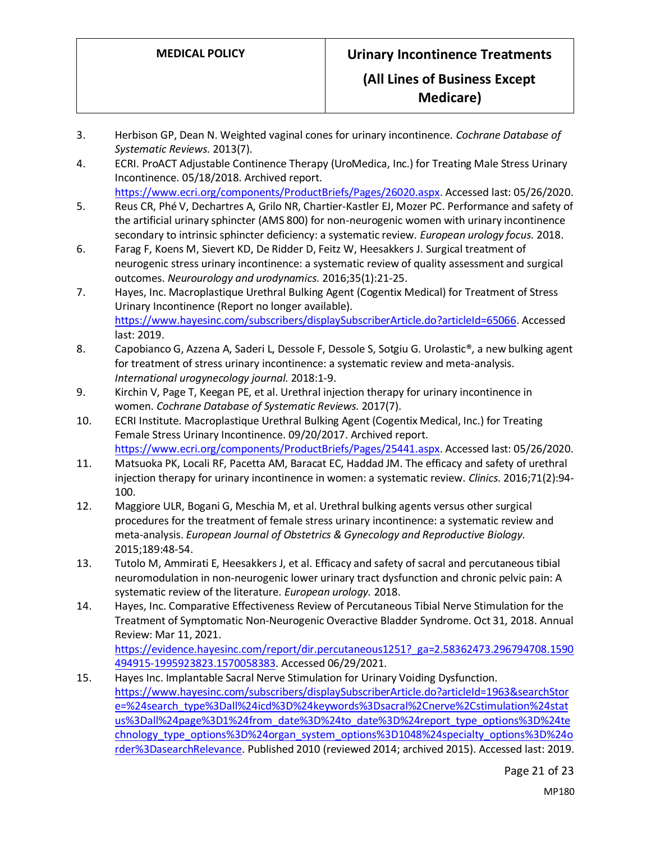- 3. Herbison GP, Dean N. Weighted vaginal cones for urinary incontinence. *Cochrane Database of Systematic Reviews.* 2013(7).
- 4. ECRI. ProACT Adjustable Continence Therapy (UroMedica, Inc.) for Treating Male Stress Urinary Incontinence. 05/18/2018. Archived report.
	- [https://www.ecri.org/components/ProductBriefs/Pages/26020.aspx.](https://www.ecri.org/components/ProductBriefs/Pages/26020.aspx) Accessed last: 05/26/2020.
- 5. Reus CR, Phé V, Dechartres A, Grilo NR, Chartier-Kastler EJ, Mozer PC. Performance and safety of the artificial urinary sphincter (AMS 800) for non-neurogenic women with urinary incontinence secondary to intrinsic sphincter deficiency: a systematic review. *European urology focus.* 2018.
- 6. Farag F, Koens M, Sievert KD, De Ridder D, Feitz W, Heesakkers J. Surgical treatment of neurogenic stress urinary incontinence: a systematic review of quality assessment and surgical outcomes. *Neurourology and urodynamics.* 2016;35(1):21-25.
- 7. Hayes, Inc. Macroplastique Urethral Bulking Agent (Cogentix Medical) for Treatment of Stress Urinary Incontinence (Report no longer available). [https://www.hayesinc.com/subscribers/displaySubscriberArticle.do?articleId=65066.](https://www.hayesinc.com/subscribers/displaySubscriberArticle.do?articleId=65066) Accessed last: 2019.
- 8. Capobianco G, Azzena A, Saderi L, Dessole F, Dessole S, Sotgiu G. Urolastic®, a new bulking agent for treatment of stress urinary incontinence: a systematic review and meta-analysis. *International urogynecology journal.* 2018:1-9.
- 9. Kirchin V, Page T, Keegan PE, et al. Urethral injection therapy for urinary incontinence in women. *Cochrane Database of Systematic Reviews.* 2017(7).
- 10. ECRI Institute. Macroplastique Urethral Bulking Agent (Cogentix Medical, Inc.) for Treating Female Stress Urinary Incontinence. 09/20/2017. Archived report. [https://www.ecri.org/components/ProductBriefs/Pages/25441.aspx.](https://www.ecri.org/components/ProductBriefs/Pages/25441.aspx) Accessed last: 05/26/2020.
- 11. Matsuoka PK, Locali RF, Pacetta AM, Baracat EC, Haddad JM. The efficacy and safety of urethral injection therapy for urinary incontinence in women: a systematic review. *Clinics.* 2016;71(2):94- 100.
- 12. Maggiore ULR, Bogani G, Meschia M, et al. Urethral bulking agents versus other surgical procedures for the treatment of female stress urinary incontinence: a systematic review and meta-analysis. *European Journal of Obstetrics & Gynecology and Reproductive Biology.*  2015;189:48-54.
- 13. Tutolo M, Ammirati E, Heesakkers J, et al. Efficacy and safety of sacral and percutaneous tibial neuromodulation in non-neurogenic lower urinary tract dysfunction and chronic pelvic pain: A systematic review of the literature. *European urology.* 2018.
- 14. Hayes, Inc. Comparative Effectiveness Review of Percutaneous Tibial Nerve Stimulation for the Treatment of Symptomatic Non-Neurogenic Overactive Bladder Syndrome. Oct 31, 2018. Annual Review: Mar 11, 2021.

[https://evidence.hayesinc.com/report/dir.percutaneous1251?\\_ga=2.58362473.296794708.1590](https://evidence.hayesinc.com/report/dir.percutaneous1251?_ga=2.58362473.296794708.1590494915-1995923823.1570058383) [494915-1995923823.1570058383.](https://evidence.hayesinc.com/report/dir.percutaneous1251?_ga=2.58362473.296794708.1590494915-1995923823.1570058383) Accessed 06/29/2021.

15. Hayes Inc. Implantable Sacral Nerve Stimulation for Urinary Voiding Dysfunction. [https://www.hayesinc.com/subscribers/displaySubscriberArticle.do?articleId=1963&searchStor](https://www.hayesinc.com/subscribers/displaySubscriberArticle.do?articleId=1963&searchStore=%24search_type%3Dall%24icd%3D%24keywords%3Dsacral%2Cnerve%2Cstimulation%24status%3Dall%24page%3D1%24from_date%3D%24to_date%3D%24report_type_options%3D%24technology_type_options%3D%24organ_system_options%3D1048%24specialty_options%3D%24order%3DasearchRelevance) [e=%24search\\_type%3Dall%24icd%3D%24keywords%3Dsacral%2Cnerve%2Cstimulation%24stat](https://www.hayesinc.com/subscribers/displaySubscriberArticle.do?articleId=1963&searchStore=%24search_type%3Dall%24icd%3D%24keywords%3Dsacral%2Cnerve%2Cstimulation%24status%3Dall%24page%3D1%24from_date%3D%24to_date%3D%24report_type_options%3D%24technology_type_options%3D%24organ_system_options%3D1048%24specialty_options%3D%24order%3DasearchRelevance) [us%3Dall%24page%3D1%24from\\_date%3D%24to\\_date%3D%24report\\_type\\_options%3D%24te](https://www.hayesinc.com/subscribers/displaySubscriberArticle.do?articleId=1963&searchStore=%24search_type%3Dall%24icd%3D%24keywords%3Dsacral%2Cnerve%2Cstimulation%24status%3Dall%24page%3D1%24from_date%3D%24to_date%3D%24report_type_options%3D%24technology_type_options%3D%24organ_system_options%3D1048%24specialty_options%3D%24order%3DasearchRelevance) [chnology\\_type\\_options%3D%24organ\\_system\\_options%3D1048%24specialty\\_options%3D%24o](https://www.hayesinc.com/subscribers/displaySubscriberArticle.do?articleId=1963&searchStore=%24search_type%3Dall%24icd%3D%24keywords%3Dsacral%2Cnerve%2Cstimulation%24status%3Dall%24page%3D1%24from_date%3D%24to_date%3D%24report_type_options%3D%24technology_type_options%3D%24organ_system_options%3D1048%24specialty_options%3D%24order%3DasearchRelevance) [rder%3DasearchRelevance.](https://www.hayesinc.com/subscribers/displaySubscriberArticle.do?articleId=1963&searchStore=%24search_type%3Dall%24icd%3D%24keywords%3Dsacral%2Cnerve%2Cstimulation%24status%3Dall%24page%3D1%24from_date%3D%24to_date%3D%24report_type_options%3D%24technology_type_options%3D%24organ_system_options%3D1048%24specialty_options%3D%24order%3DasearchRelevance) Published 2010 (reviewed 2014; archived 2015). Accessed last: 2019.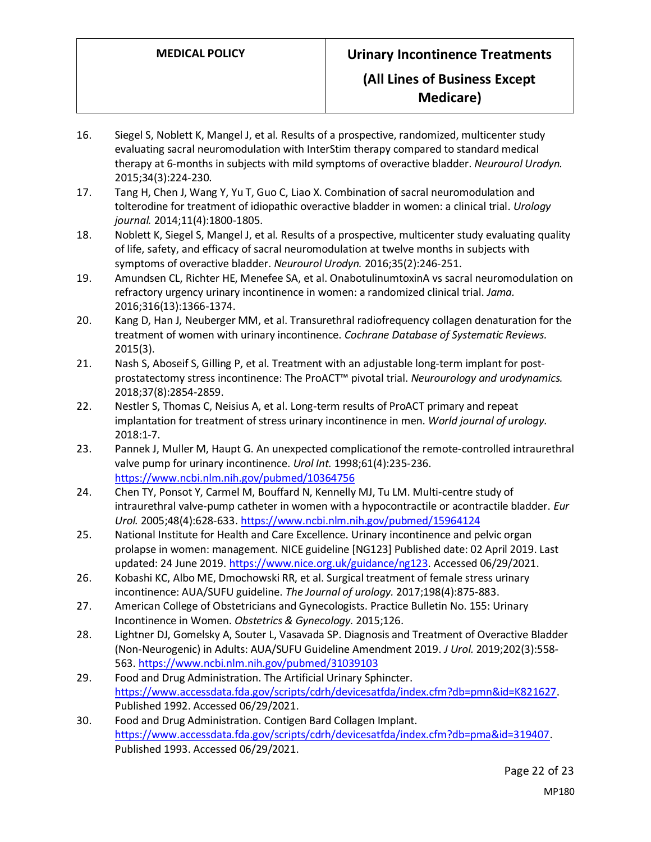# **Medicare)**

- 16. Siegel S, Noblett K, Mangel J, et al. Results of a prospective, randomized, multicenter study evaluating sacral neuromodulation with InterStim therapy compared to standard medical therapy at 6-months in subjects with mild symptoms of overactive bladder. *Neurourol Urodyn.*  2015;34(3):224-230.
- 17. Tang H, Chen J, Wang Y, Yu T, Guo C, Liao X. Combination of sacral neuromodulation and tolterodine for treatment of idiopathic overactive bladder in women: a clinical trial. *Urology journal.* 2014;11(4):1800-1805.
- 18. Noblett K, Siegel S, Mangel J, et al. Results of a prospective, multicenter study evaluating quality of life, safety, and efficacy of sacral neuromodulation at twelve months in subjects with symptoms of overactive bladder. *Neurourol Urodyn.* 2016;35(2):246-251.
- 19. Amundsen CL, Richter HE, Menefee SA, et al. OnabotulinumtoxinA vs sacral neuromodulation on refractory urgency urinary incontinence in women: a randomized clinical trial. *Jama.*  2016;316(13):1366-1374.
- 20. Kang D, Han J, Neuberger MM, et al. Transurethral radiofrequency collagen denaturation for the treatment of women with urinary incontinence. *Cochrane Database of Systematic Reviews.*  2015(3).
- 21. Nash S, Aboseif S, Gilling P, et al. Treatment with an adjustable long-term implant for postprostatectomy stress incontinence: The ProACT™ pivotal trial. *Neurourology and urodynamics.*  2018;37(8):2854-2859.
- 22. Nestler S, Thomas C, Neisius A, et al. Long-term results of ProACT primary and repeat implantation for treatment of stress urinary incontinence in men. *World journal of urology.*  2018:1-7.
- 23. Pannek J, Muller M, Haupt G. An unexpected complicationof the remote-controlled intraurethral valve pump for urinary incontinence. *Urol Int.* 1998;61(4):235-236. <https://www.ncbi.nlm.nih.gov/pubmed/10364756>
- 24. Chen TY, Ponsot Y, Carmel M, Bouffard N, Kennelly MJ, Tu LM. Multi-centre study of intraurethral valve-pump catheter in women with a hypocontractile or acontractile bladder. *Eur Urol.* 2005;48(4):628-633.<https://www.ncbi.nlm.nih.gov/pubmed/15964124>
- 25. National Institute for Health and Care Excellence. Urinary incontinence and pelvic organ prolapse in women: management. NICE guideline [NG123] Published date: 02 April 2019. Last updated: 24 June 2019[. https://www.nice.org.uk/guidance/ng123.](https://www.nice.org.uk/guidance/ng123) Accessed 06/29/2021.
- 26. Kobashi KC, Albo ME, Dmochowski RR, et al. Surgical treatment of female stress urinary incontinence: AUA/SUFU guideline. *The Journal of urology.* 2017;198(4):875-883.
- 27. American College of Obstetricians and Gynecologists. Practice Bulletin No. 155: Urinary Incontinence in Women. *Obstetrics & Gynecology.* 2015;126.
- 28. Lightner DJ, Gomelsky A, Souter L, Vasavada SP. Diagnosis and Treatment of Overactive Bladder (Non-Neurogenic) in Adults: AUA/SUFU Guideline Amendment 2019. *J Urol.* 2019;202(3):558- 563.<https://www.ncbi.nlm.nih.gov/pubmed/31039103>
- 29. Food and Drug Administration. The Artificial Urinary Sphincter. [https://www.accessdata.fda.gov/scripts/cdrh/devicesatfda/index.cfm?db=pmn&id=K821627.](https://www.accessdata.fda.gov/scripts/cdrh/devicesatfda/index.cfm?db=pmn&id=K821627) Published 1992. Accessed 06/29/2021.
- 30. Food and Drug Administration. Contigen Bard Collagen Implant. [https://www.accessdata.fda.gov/scripts/cdrh/devicesatfda/index.cfm?db=pma&id=319407.](https://www.accessdata.fda.gov/scripts/cdrh/devicesatfda/index.cfm?db=pma&id=319407) Published 1993. Accessed 06/29/2021.